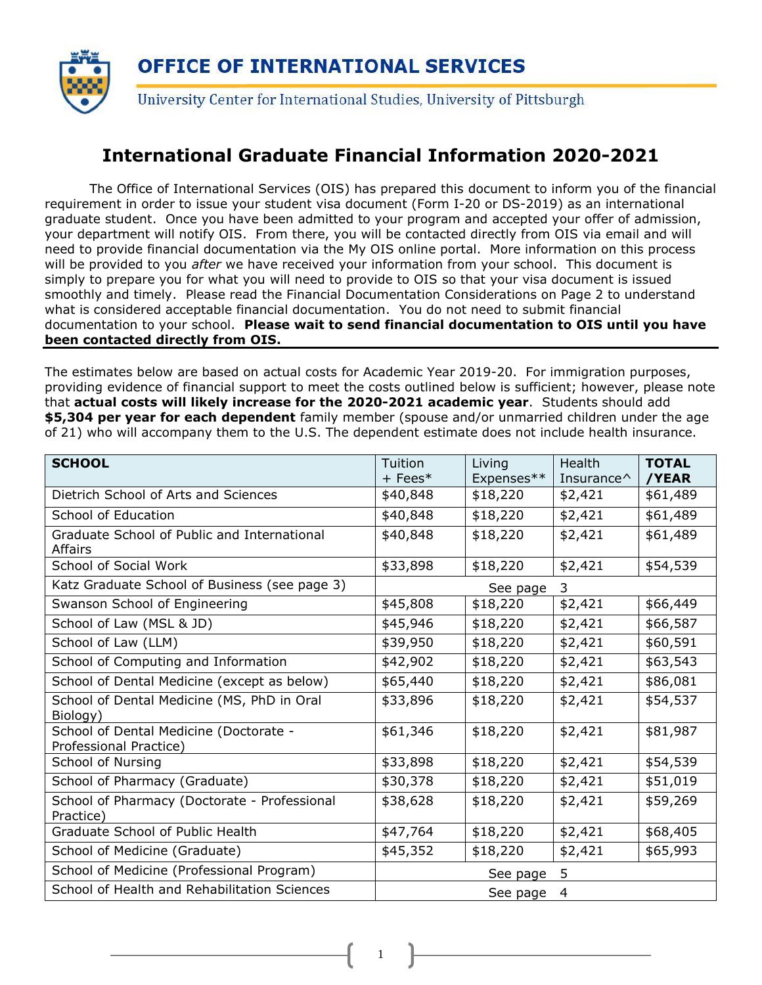

#### **International Graduate Financial Information 2020-2021**

The Office of International Services (OIS) has prepared this document to inform you of the financial requirement in order to issue your student visa document (Form I-20 or DS-2019) as an international graduate student. Once you have been admitted to your program and accepted your offer of admission, your department will notify OIS. From there, you will be contacted directly from OIS via email and will need to provide financial documentation via the My OIS online portal. More information on this process will be provided to you *after* we have received your information from your school. This document is simply to prepare you for what you will need to provide to OIS so that your visa document is issued smoothly and timely. Please read the Financial Documentation Considerations on Page 2 to understand what is considered acceptable financial documentation. You do not need to submit financial documentation to your school. **Please wait to send financial documentation to OIS until you have been contacted directly from OIS.**

The estimates below are based on actual costs for Academic Year 2019-20. For immigration purposes, providing evidence of financial support to meet the costs outlined below is sufficient; however, please note that **actual costs will likely increase for the 2020-2021 academic year**. Students should add **\$5,304 per year for each dependent** family member (spouse and/or unmarried children under the age of 21) who will accompany them to the U.S. The dependent estimate does not include health insurance.

| <b>SCHOOL</b>                                                    | Tuition<br>$+$ Fees* | Living<br>Expenses** | <b>Health</b><br>Insurance <sup><math>\wedge</math></sup> | <b>TOTAL</b><br>/YEAR |  |
|------------------------------------------------------------------|----------------------|----------------------|-----------------------------------------------------------|-----------------------|--|
| Dietrich School of Arts and Sciences                             | \$40,848             | \$18,220             | \$2,421                                                   | \$61,489              |  |
| School of Education                                              | \$40,848             | \$18,220             | \$2,421                                                   | \$61,489              |  |
| Graduate School of Public and International<br>Affairs           | \$40,848             | \$18,220             | \$2,421                                                   | \$61,489              |  |
| School of Social Work                                            | \$33,898             | \$18,220             | \$2,421                                                   | \$54,539              |  |
| Katz Graduate School of Business (see page 3)                    | 3<br>See page        |                      |                                                           |                       |  |
| Swanson School of Engineering                                    | \$45,808             | \$18,220             | \$2,421                                                   | \$66,449              |  |
| School of Law (MSL & JD)                                         | \$45,946             | \$18,220             | \$2,421                                                   | \$66,587              |  |
| School of Law (LLM)                                              | \$39,950             | \$18,220             | \$2,421                                                   | \$60,591              |  |
| School of Computing and Information                              | \$42,902             | \$18,220             | \$2,421                                                   | \$63,543              |  |
| School of Dental Medicine (except as below)                      | \$65,440             | \$18,220             | \$2,421                                                   | \$86,081              |  |
| School of Dental Medicine (MS, PhD in Oral<br>Biology)           | \$33,896             | \$18,220             | \$2,421                                                   | \$54,537              |  |
| School of Dental Medicine (Doctorate -<br>Professional Practice) | \$61,346             | \$18,220             | \$2,421                                                   | \$81,987              |  |
| School of Nursing                                                | \$33,898             | \$18,220             | \$2,421                                                   | \$54,539              |  |
| School of Pharmacy (Graduate)                                    | \$30,378             | \$18,220             | \$2,421                                                   | \$51,019              |  |
| School of Pharmacy (Doctorate - Professional<br>Practice)        | \$38,628             | \$18,220             | \$2,421                                                   | \$59,269              |  |
| Graduate School of Public Health                                 | \$47,764             | \$18,220             | \$2,421                                                   | \$68,405              |  |
| School of Medicine (Graduate)                                    | \$45,352             | \$18,220             | \$2,421                                                   | \$65,993              |  |
| School of Medicine (Professional Program)                        |                      | See page             | 5                                                         |                       |  |
| School of Health and Rehabilitation Sciences                     | 4<br>See page        |                      |                                                           |                       |  |

1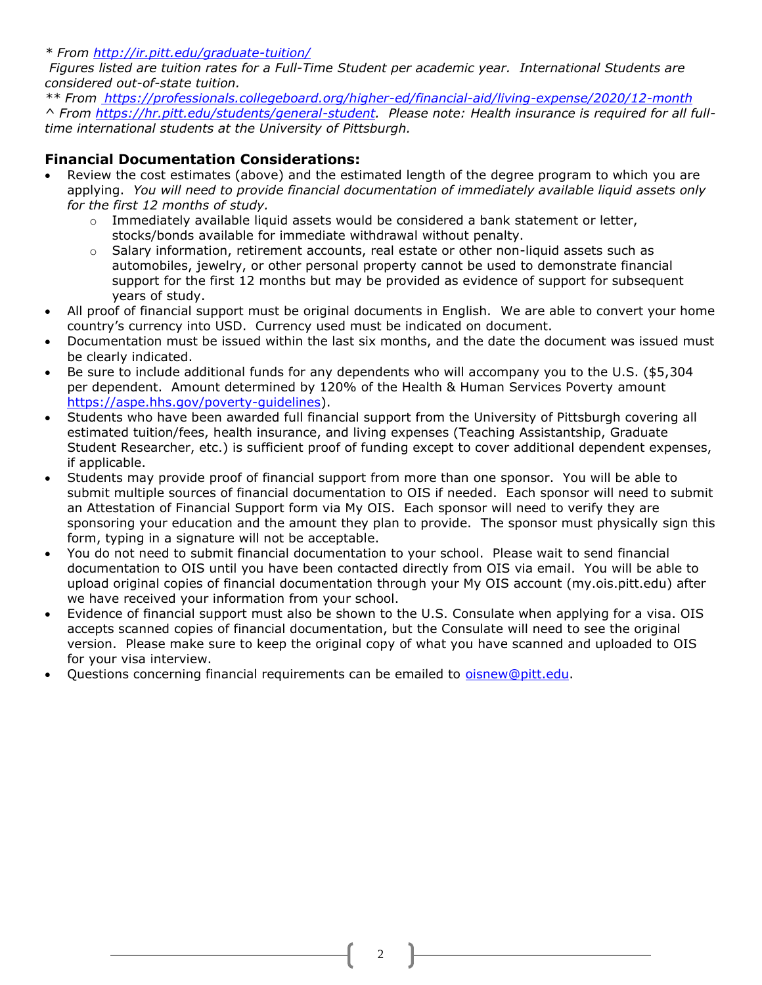*\* From<http://ir.pitt.edu/graduate-tuition/>*

*Figures listed are tuition rates for a Full-Time Student per academic year. International Students are considered out-of-state tuition.*

*\*\* From<https://professionals.collegeboard.org/higher-ed/financial-aid/living-expense/2020/12-month> ^ From https://hr.pitt.edu/students/general-student. Please note: Health insurance is required for all fulltime international students at the University of Pittsburgh.*

#### **Financial Documentation Considerations:**

- Review the cost estimates (above) and the estimated length of the degree program to which you are applying. *You will need to provide financial documentation of immediately available liquid assets only for the first 12 months of study.*
	- $\circ$  Immediately available liquid assets would be considered a bank statement or letter, stocks/bonds available for immediate withdrawal without penalty.
	- $\circ$  Salary information, retirement accounts, real estate or other non-liquid assets such as automobiles, jewelry, or other personal property cannot be used to demonstrate financial support for the first 12 months but may be provided as evidence of support for subsequent years of study.
- All proof of financial support must be original documents in English. We are able to convert your home country's currency into USD. Currency used must be indicated on document.
- Documentation must be issued within the last six months, and the date the document was issued must be clearly indicated.
- Be sure to include additional funds for any dependents who will accompany you to the U.S. (\$5,304 per dependent. Amount determined by 120% of the Health & Human Services Poverty amount [https://aspe.hhs.gov/poverty-guidelines\)](https://aspe.hhs.gov/poverty-guidelines).
- Students who have been awarded full financial support from the University of Pittsburgh covering all estimated tuition/fees, health insurance, and living expenses (Teaching Assistantship, Graduate Student Researcher, etc.) is sufficient proof of funding except to cover additional dependent expenses, if applicable.
- Students may provide proof of financial support from more than one sponsor. You will be able to submit multiple sources of financial documentation to OIS if needed. Each sponsor will need to submit an Attestation of Financial Support form via My OIS. Each sponsor will need to verify they are sponsoring your education and the amount they plan to provide. The sponsor must physically sign this form, typing in a signature will not be acceptable.
- You do not need to submit financial documentation to your school. Please wait to send financial documentation to OIS until you have been contacted directly from OIS via email. You will be able to upload original copies of financial documentation through your My OIS account (my.ois.pitt.edu) after we have received your information from your school.
- Evidence of financial support must also be shown to the U.S. Consulate when applying for a visa. OIS accepts scanned copies of financial documentation, but the Consulate will need to see the original version. Please make sure to keep the original copy of what you have scanned and uploaded to OIS for your visa interview.
- Questions concerning financial requirements can be emailed to *oisnew@pitt.edu.*

2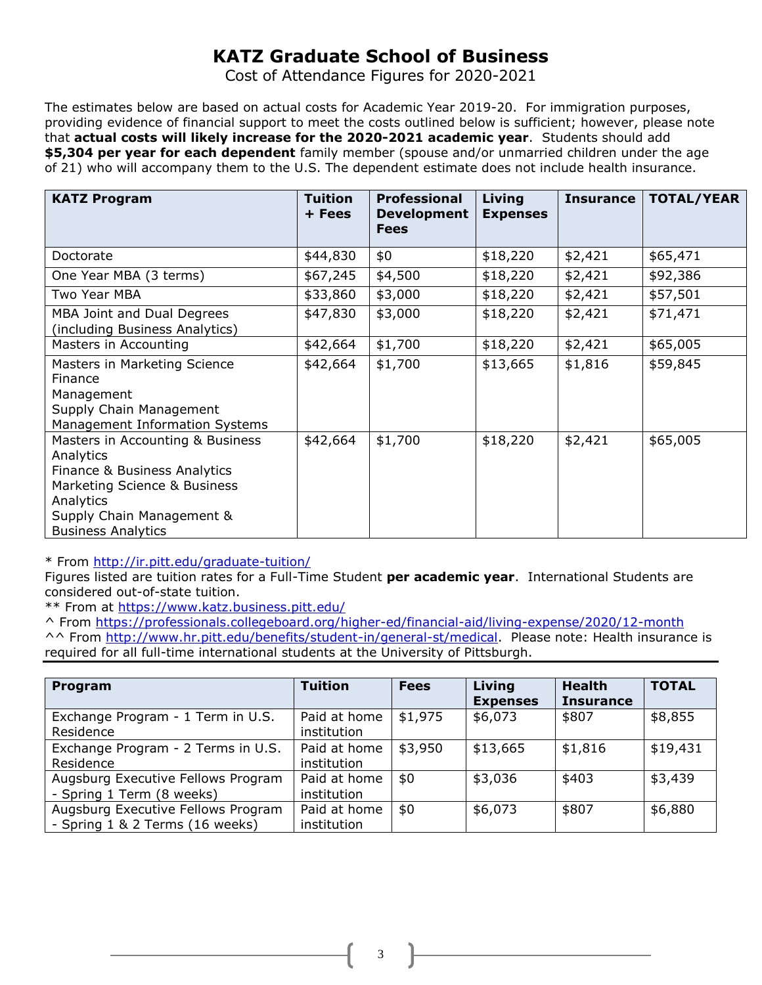# **KATZ Graduate School of Business**

Cost of Attendance Figures for 2020-2021

The estimates below are based on actual costs for Academic Year 2019-20. For immigration purposes, providing evidence of financial support to meet the costs outlined below is sufficient; however, please note that **actual costs will likely increase for the 2020-2021 academic year**. Students should add **\$5,304 per year for each dependent** family member (spouse and/or unmarried children under the age of 21) who will accompany them to the U.S. The dependent estimate does not include health insurance.

| <b>KATZ Program</b>                                                                                                                                                                  | <b>Tuition</b><br>+ Fees | <b>Professional</b><br><b>Development</b><br><b>Fees</b> | Living<br><b>Expenses</b> | <b>Insurance</b> | <b>TOTAL/YEAR</b> |
|--------------------------------------------------------------------------------------------------------------------------------------------------------------------------------------|--------------------------|----------------------------------------------------------|---------------------------|------------------|-------------------|
| Doctorate                                                                                                                                                                            | \$44,830                 | \$0                                                      | \$18,220                  | \$2,421          | \$65,471          |
| One Year MBA (3 terms)                                                                                                                                                               | \$67,245                 | \$4,500                                                  | \$18,220                  | \$2,421          | \$92,386          |
| Two Year MBA                                                                                                                                                                         | \$33,860                 | \$3,000                                                  | \$18,220                  | \$2,421          | \$57,501          |
| MBA Joint and Dual Degrees<br>(including Business Analytics)                                                                                                                         | \$47,830                 | \$3,000                                                  | \$18,220                  | \$2,421          | \$71,471          |
| Masters in Accounting                                                                                                                                                                | \$42,664                 | \$1,700                                                  | \$18,220                  | \$2,421          | \$65,005          |
| Masters in Marketing Science<br>Finance<br>Management<br>Supply Chain Management<br>Management Information Systems                                                                   | \$42,664                 | \$1,700                                                  | \$13,665                  | \$1,816          | \$59,845          |
| Masters in Accounting & Business<br>Analytics<br>Finance & Business Analytics<br>Marketing Science & Business<br>Analytics<br>Supply Chain Management &<br><b>Business Analytics</b> | \$42,664                 | \$1,700                                                  | \$18,220                  | \$2,421          | \$65,005          |

\* From<http://ir.pitt.edu/graduate-tuition/>

Figures listed are tuition rates for a Full-Time Student **per academic year**. International Students are considered out-of-state tuition.

\*\* From at https://www.katz.business.pitt.edu/

^ From https://professionals.collegeboard.org/higher-ed/financial-aid/living-expense/2020/12-month ^^ From [http://www.hr.pitt.edu/benefits/student-in/general-st/medical.](http://www.hr.pitt.edu/benefits/student-in/general-st/medical) Please note: Health insurance is required for all full-time international students at the University of Pittsburgh.

| Program                                                               | <b>Tuition</b>              | <b>Fees</b> | Living<br><b>Expenses</b> | <b>Health</b><br><b>Insurance</b> | <b>TOTAL</b> |
|-----------------------------------------------------------------------|-----------------------------|-------------|---------------------------|-----------------------------------|--------------|
| Exchange Program - 1 Term in U.S.<br>Residence                        | Paid at home<br>institution | \$1,975     | \$6,073                   | \$807                             | \$8,855      |
| Exchange Program - 2 Terms in U.S.<br>Residence                       | Paid at home<br>institution | \$3,950     | \$13,665                  | \$1,816                           | \$19,431     |
| Augsburg Executive Fellows Program<br>- Spring 1 Term (8 weeks)       | Paid at home<br>institution | \$0         | \$3,036                   | \$403                             | \$3,439      |
| Augsburg Executive Fellows Program<br>- Spring 1 & 2 Terms (16 weeks) | Paid at home<br>institution | \$0         | \$6,073                   | \$807                             | \$6,880      |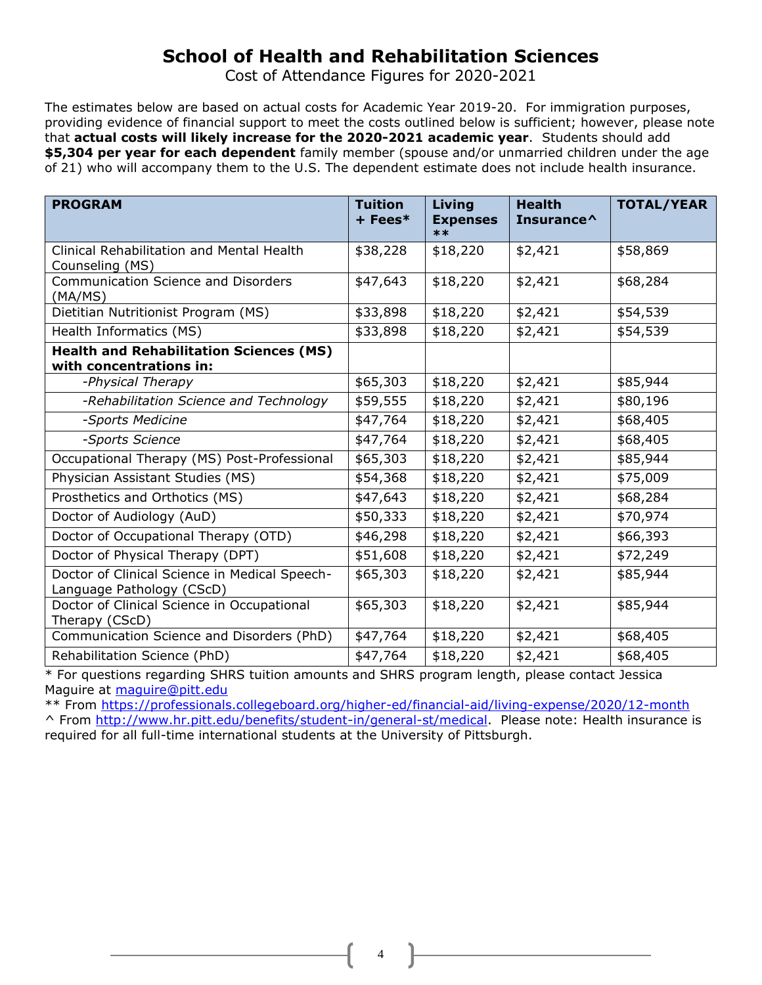# **School of Health and Rehabilitation Sciences**

Cost of Attendance Figures for 2020-2021

The estimates below are based on actual costs for Academic Year 2019-20. For immigration purposes, providing evidence of financial support to meet the costs outlined below is sufficient; however, please note that **actual costs will likely increase for the 2020-2021 academic year**. Students should add **\$5,304 per year for each dependent** family member (spouse and/or unmarried children under the age of 21) who will accompany them to the U.S. The dependent estimate does not include health insurance.

| <b>PROGRAM</b>                                                             | <b>Tuition</b><br>$+$ Fees $*$ | Living<br><b>Expenses</b><br>$***$ | <b>Health</b><br>Insurance^ | <b>TOTAL/YEAR</b> |
|----------------------------------------------------------------------------|--------------------------------|------------------------------------|-----------------------------|-------------------|
| Clinical Rehabilitation and Mental Health<br>Counseling (MS)               | \$38,228                       | \$18,220                           | \$2,421                     | \$58,869          |
| <b>Communication Science and Disorders</b><br>(MA/MS)                      | \$47,643                       | \$18,220                           | \$2,421                     | \$68,284          |
| Dietitian Nutritionist Program (MS)                                        | \$33,898                       | \$18,220                           | \$2,421                     | \$54,539          |
| Health Informatics (MS)                                                    | \$33,898                       | \$18,220                           | \$2,421                     | \$54,539          |
| <b>Health and Rehabilitation Sciences (MS)</b><br>with concentrations in:  |                                |                                    |                             |                   |
| -Physical Therapy                                                          | \$65,303                       | \$18,220                           | \$2,421                     | \$85,944          |
| -Rehabilitation Science and Technology                                     | \$59,555                       | \$18,220                           | \$2,421                     | \$80,196          |
| -Sports Medicine                                                           | \$47,764                       | \$18,220                           | \$2,421                     | \$68,405          |
| -Sports Science                                                            | \$47,764                       | \$18,220                           | \$2,421                     | \$68,405          |
| Occupational Therapy (MS) Post-Professional                                | \$65,303                       | \$18,220                           | \$2,421                     | \$85,944          |
| Physician Assistant Studies (MS)                                           | \$54,368                       | \$18,220                           | \$2,421                     | \$75,009          |
| Prosthetics and Orthotics (MS)                                             | \$47,643                       | \$18,220                           | \$2,421                     | \$68,284          |
| Doctor of Audiology (AuD)                                                  | \$50,333                       | \$18,220                           | \$2,421                     | \$70,974          |
| Doctor of Occupational Therapy (OTD)                                       | \$46,298                       | \$18,220                           | \$2,421                     | \$66,393          |
| Doctor of Physical Therapy (DPT)                                           | \$51,608                       | \$18,220                           | \$2,421                     | \$72,249          |
| Doctor of Clinical Science in Medical Speech-<br>Language Pathology (CScD) | \$65,303                       | \$18,220                           | \$2,421                     | \$85,944          |
| Doctor of Clinical Science in Occupational<br>Therapy (CScD)               | \$65,303                       | \$18,220                           | \$2,421                     | \$85,944          |
| Communication Science and Disorders (PhD)                                  | \$47,764                       | \$18,220                           | \$2,421                     | \$68,405          |
| Rehabilitation Science (PhD)                                               | \$47,764                       | \$18,220                           | \$2,421                     | \$68,405          |

\* For questions regarding SHRS tuition amounts and SHRS program length, please contact Jessica Maguire at [maguire@pitt.edu](mailto:maguire@pitt.edu)

\*\* From https://professionals.collegeboard.org/higher-ed/financial-aid/living-expense/2020/12-month ^ From [http://www.hr.pitt.edu/benefits/student-in/general-st/medical.](http://www.hr.pitt.edu/benefits/student-in/general-st/medical) Please note: Health insurance is required for all full-time international students at the University of Pittsburgh.

4